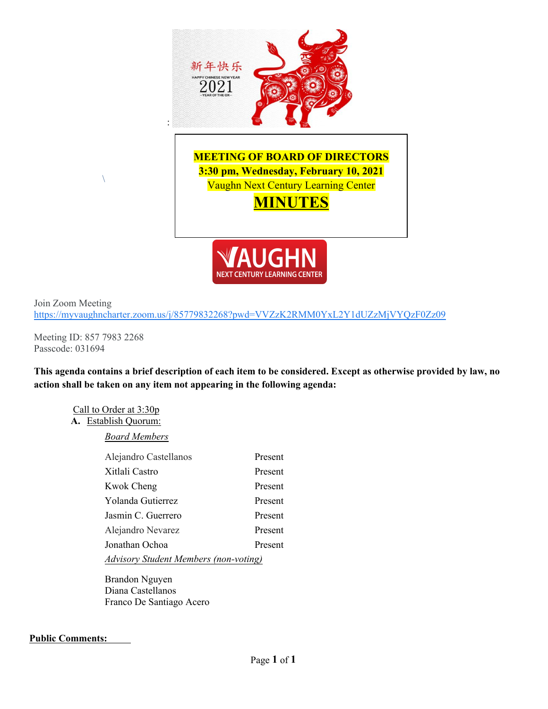

Join Zoom Meeting <https://myvaughncharter.zoom.us/j/85779832268?pwd=VVZzK2RMM0YxL2Y1dUZzMjVYQzF0Zz09>

Meeting ID: 857 7983 2268 Passcode: 031694

**This agenda contains a brief description of each item to be considered. Except as otherwise provided by law, no action shall be taken on any item not appearing in the following agenda:**

Call to Order at 3:30p

# **A.** Establish Quorum:

*Board Members*

| Alejandro Castellanos                        | Present |
|----------------------------------------------|---------|
| Xitlali Castro                               | Present |
| <b>Kwok Cheng</b>                            | Present |
| Yolanda Gutierrez                            | Present |
| Jasmin C. Guerrero                           | Present |
| Alejandro Nevarez                            | Present |
| Jonathan Ochoa                               | Present |
| <b>Advisory Student Members (non-voting)</b> |         |

Brandon Nguyen Diana Castellanos Franco De Santiago Acero

### **Public Comments:**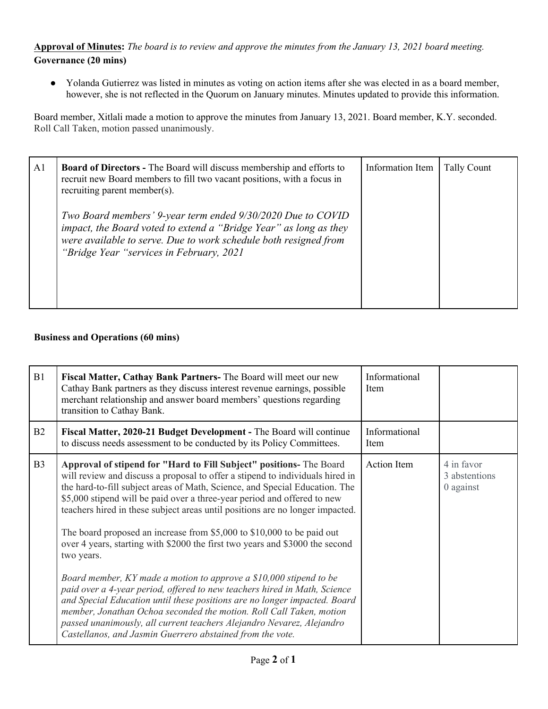## **Approval of Minutes:** *The board is to review and approve the minutes from the January 13, 2021 board meeting.* **Governance (20 mins)**

● Yolanda Gutierrez was listed in minutes as voting on action items after she was elected in as a board member, however, she is not reflected in the Quorum on January minutes. Minutes updated to provide this information.

Board member, Xitlali made a motion to approve the minutes from January 13, 2021. Board member, K.Y. seconded. Roll Call Taken, motion passed unanimously.

| A <sub>1</sub> | <b>Board of Directors - The Board will discuss membership and efforts to</b><br>recruit new Board members to fill two vacant positions, with a focus in<br>recruiting parent member(s).                                                          | Information Item | <b>Tally Count</b> |  |
|----------------|--------------------------------------------------------------------------------------------------------------------------------------------------------------------------------------------------------------------------------------------------|------------------|--------------------|--|
|                | Two Board members' 9-year term ended 9/30/2020 Due to COVID<br>impact, the Board voted to extend a "Bridge Year" as long as they<br>were available to serve. Due to work schedule both resigned from<br>"Bridge Year "services in February, 2021 |                  |                    |  |

## **Business and Operations (60 mins)**

| B1             | Fiscal Matter, Cathay Bank Partners- The Board will meet our new<br>Cathay Bank partners as they discuss interest revenue earnings, possible<br>merchant relationship and answer board members' questions regarding<br>transition to Cathay Bank.                                                                                                                                                                                                                                                                                                                        | Informational<br>Item |                                          |
|----------------|--------------------------------------------------------------------------------------------------------------------------------------------------------------------------------------------------------------------------------------------------------------------------------------------------------------------------------------------------------------------------------------------------------------------------------------------------------------------------------------------------------------------------------------------------------------------------|-----------------------|------------------------------------------|
| B2             | Fiscal Matter, 2020-21 Budget Development - The Board will continue<br>to discuss needs assessment to be conducted by its Policy Committees.                                                                                                                                                                                                                                                                                                                                                                                                                             | Informational<br>Item |                                          |
| B <sub>3</sub> | Approval of stipend for "Hard to Fill Subject" positions- The Board<br>will review and discuss a proposal to offer a stipend to individuals hired in<br>the hard-to-fill subject areas of Math, Science, and Special Education. The<br>\$5,000 stipend will be paid over a three-year period and offered to new<br>teachers hired in these subject areas until positions are no longer impacted.<br>The board proposed an increase from \$5,000 to \$10,000 to be paid out<br>over 4 years, starting with \$2000 the first two years and \$3000 the second<br>two years. | Action Item           | 4 in favor<br>3 abstentions<br>0 against |
|                | Board member, KY made a motion to approve a \$10,000 stipend to be<br>paid over a 4-year period, offered to new teachers hired in Math, Science<br>and Special Education until these positions are no longer impacted. Board<br>member, Jonathan Ochoa seconded the motion. Roll Call Taken, motion<br>passed unanimously, all current teachers Alejandro Nevarez, Alejandro<br>Castellanos, and Jasmin Guerrero abstained from the vote.                                                                                                                                |                       |                                          |